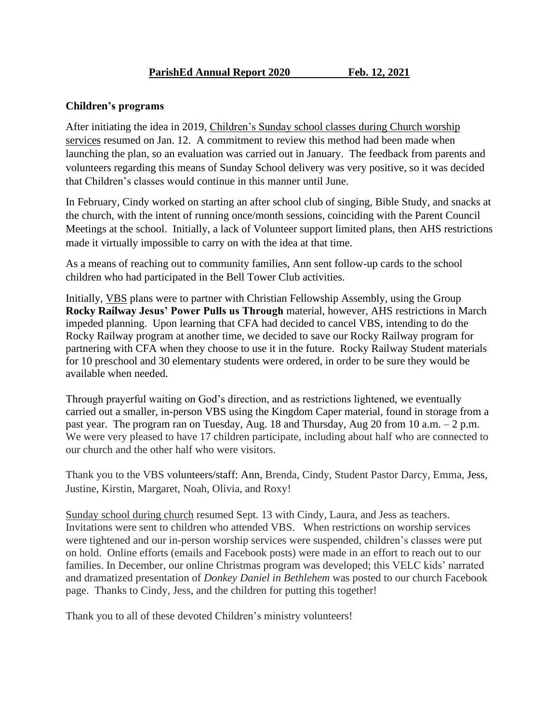## **Children's programs**

After initiating the idea in 2019, Children's Sunday school classes during Church worship services resumed on Jan. 12. A commitment to review this method had been made when launching the plan, so an evaluation was carried out in January. The feedback from parents and volunteers regarding this means of Sunday School delivery was very positive, so it was decided that Children's classes would continue in this manner until June.

In February, Cindy worked on starting an after school club of singing, Bible Study, and snacks at the church, with the intent of running once/month sessions, coinciding with the Parent Council Meetings at the school. Initially, a lack of Volunteer support limited plans, then AHS restrictions made it virtually impossible to carry on with the idea at that time.

As a means of reaching out to community families, Ann sent follow-up cards to the school children who had participated in the Bell Tower Club activities.

Initially, VBS plans were to partner with Christian Fellowship Assembly, using the Group **Rocky Railway Jesus' Power Pulls us Through** material, however, AHS restrictions in March impeded planning. Upon learning that CFA had decided to cancel VBS, intending to do the Rocky Railway program at another time, we decided to save our Rocky Railway program for partnering with CFA when they choose to use it in the future. Rocky Railway Student materials for 10 preschool and 30 elementary students were ordered, in order to be sure they would be available when needed.

Through prayerful waiting on God's direction, and as restrictions lightened, we eventually carried out a smaller, in-person VBS using the Kingdom Caper material, found in storage from a past year. The program ran on Tuesday, Aug. 18 and Thursday, Aug 20 from 10 a.m. – 2 p.m. We were very pleased to have 17 children participate, including about half who are connected to our church and the other half who were visitors.

Thank you to the VBS volunteers/staff: Ann, Brenda, Cindy, Student Pastor Darcy, Emma, Jess, Justine, Kirstin, Margaret, Noah, Olivia, and Roxy!

Sunday school during church resumed Sept. 13 with Cindy, Laura, and Jess as teachers. Invitations were sent to children who attended VBS. When restrictions on worship services were tightened and our in-person worship services were suspended, children's classes were put on hold. Online efforts (emails and Facebook posts) were made in an effort to reach out to our families. In December, our online Christmas program was developed; this VELC kids' narrated and dramatized presentation of *Donkey Daniel in Bethlehem* was posted to our church Facebook page. Thanks to Cindy, Jess, and the children for putting this together!

Thank you to all of these devoted Children's ministry volunteers!